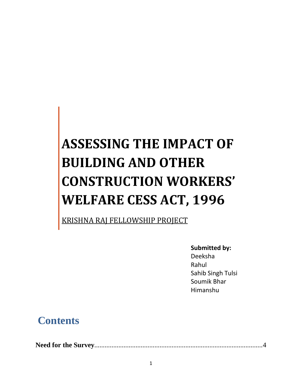# **ASSESSING THE IMPACT OF BUILDING AND OTHER CONSTRUCTION WORKERS' WELFARE CESS ACT, 1996**

KRISHNA RAJ FELLOWSHIP PROJECT

**Submitted by:**

Deeksha Rahul Sahib Singh Tulsi Soumik Bhar Himanshu

### **Contents**

**Need for the Survey**..................................................................................................4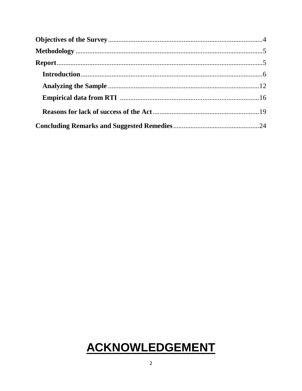## ACKNOWLEDGEMENT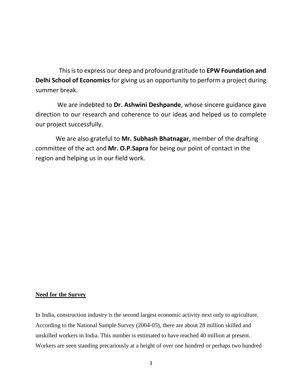This is to express our deep and profound gratitude to **EPW Foundation and Delhi School of Economics** for giving us an opportunity to perform a project during summer break.

 We are indebted to **Dr. Ashwini Deshpande**, whose sincere guidance gave direction to our research and coherence to our ideas and helped us to complete our project successfully.

 We are also grateful to **Mr. Subhash Bhatnagar,** member of the drafting committee of the act and **Mr. O.P.Sapra** for being our point of contact in the region and helping us in our field work.

#### **Need for the Survey**

In India, construction industry is the second largest economic activity next only to agriculture. According to the National Sample Survey (2004-05), there are about 28 million skilled and unskilled workers in India. This number is estimated to have reached 40 million at present. Workers are seen standing precariously at a height of over one hundred or perhaps two hundred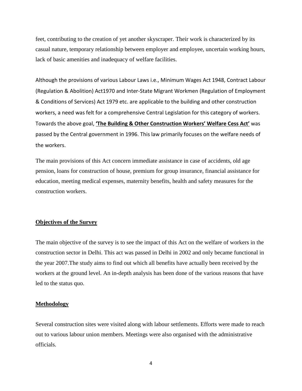feet, contributing to the creation of yet another skyscraper. Their work is characterized by its casual nature, temporary relationship between employer and employee, uncertain working hours, lack of basic amenities and inadequacy of welfare facilities.

Although the provisions of various Labour Laws i.e., Minimum Wages Act 1948, Contract Labour (Regulation & Abolition) Act1970 and Inter-State Migrant Workmen (Regulation of Employment & Conditions of Services) Act 1979 etc. are applicable to the building and other construction workers, a need was felt for a comprehensive Central Legislation for this category of workers. Towards the above goal, **'The Building & Other Construction Workers' Welfare Cess Act'** was passed by the Central government in 1996. This law primarily focuses on the welfare needs of the workers.

The main provisions of this Act concern immediate assistance in case of accidents, old age pension, loans for construction of house, premium for group insurance, financial assistance for education, meeting medical expenses, maternity benefits, health and safety measures for the construction workers.

#### **Objectives of the Survey**

The main objective of the survey is to see the impact of this Act on the welfare of workers in the construction sector in Delhi. This act was passed in Delhi in 2002 and only became functional in the year 2007.The study aims to find out which all benefits have actually been received by the workers at the ground level. An in-depth analysis has been done of the various reasons that have led to the status quo.

#### **Methodology**

Several construction sites were visited along with labour settlements. Efforts were made to reach out to various labour union members. Meetings were also organised with the administrative officials.

4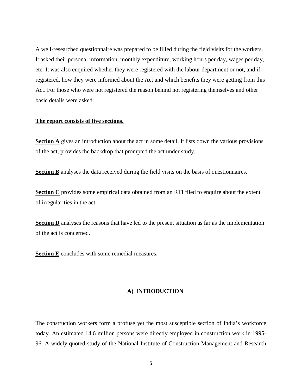A well-researched questionnaire was prepared to be filled during the field visits for the workers. It asked their personal information, monthly expenditure, working hours per day, wages per day, etc. It was also enquired whether they were registered with the labour department or not, and if registered, how they were informed about the Act and which benefits they were getting from this Act. For those who were not registered the reason behind not registering themselves and other basic details were asked.

#### **The report consists of five sections.**

**Section A** gives an introduction about the act in some detail. It lists down the various provisions of the act, provides the backdrop that prompted the act under study.

**Section B** analyses the data received during the field visits on the basis of questionnaires.

**Section C** provides some empirical data obtained from an RTI filed to enquire about the extent of irregularities in the act.

**Section D** analyses the reasons that have led to the present situation as far as the implementation of the act is concerned.

**Section E** concludes with some remedial measures.

#### **A) INTRODUCTION**

The construction workers form a profuse yet the most susceptible section of India's workforce today. An estimated 14.6 million persons were directly employed in construction work in 1995- 96. A widely quoted study of the National Institute of Construction Management and Research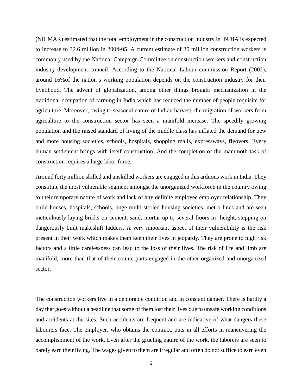(NICMAR) estimated that the total employment in the construction industry in INDIA is expected to increase to 32.6 million in 2004-05. A current estimate of 30 million construction workers is commonly used by the National Campaign Committee on construction workers and construction industry development council. According to the National Labour commission Report (2002), around 16%of the nation's working population depends on the construction industry for their livelihood. The advent of globalization, among other things brought mechanization in the traditional occupation of farming in India which has reduced the number of people requisite for agriculture. Moreover, owing to seasonal nature of Indian harvest, the migration of workers from agriculture to the construction sector has seen a manifold increase. The speedily growing population and the raised standard of living of the middle class has inflated the demand for new and more housing societies, schools, hospitals, shopping malls, expressways, flyovers. Every human settlement brings with itself construction. And the completion of the mammoth task of construction requires a large labor force.

Around forty million skilled and unskilled workers are engaged in this arduous work in India. They constitute the most vulnerable segment amongst the unorganized workforce in the country owing to their temporary nature of work and lack of any definite employee employer relationship. They build houses, hospitals, schools, huge multi-storied housing societies, metro lines and are seen meticulously laying bricks on cement, sand, mortar up to several floors in height, stepping on dangerously built makeshift ladders. A very important aspect of their vulnerability is the risk present in their work which makes them keep their lives in jeopardy. They are prone to high risk factors and a little carelessness can lead to the loss of their lives. The risk of life and limb are manifold, more than that of their counterparts engaged in the other organized and unorganized sector.

The construction workers live in a deplorable condition and in constant danger. There is hardly a day that goes without a headline that some of them lost their lives due to unsafe working conditions and accidents at the sites. Such accidents are frequent and are indicative of what dangers these labourers face. The employer, who obtains the contract, puts in all efforts in maneuvering the accomplishment of the work. Even after the grueling nature of the work, the laborers are seen to barely earn their living. The wages given to them are irregular and often do not suffice to earn even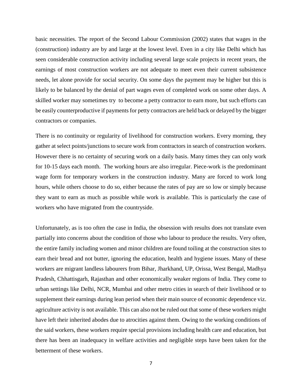basic necessities. The report of the Second Labour Commission (2002) states that wages in the (construction) industry are by and large at the lowest level. Even in a city like Delhi which has seen considerable construction activity including several large scale projects in recent years, the earnings of most construction workers are not adequate to meet even their current subsistence needs, let alone provide for social security. On some days the payment may be higher but this is likely to be balanced by the denial of part wages even of completed work on some other days. A skilled worker may sometimes try to become a petty contractor to earn more, but such efforts can be easily counterproductive if payments for petty contractors are held back or delayed by the bigger contractors or companies.

There is no continuity or regularity of livelihood for construction workers. Every morning, they gather at select points/junctions to secure work from contractors in search of construction workers. However there is no certainty of securing work on a daily basis. Many times they can only work for 10-15 days each month. The working hours are also irregular. Piece-work is the predominant wage form for temporary workers in the construction industry. Many are forced to work long hours, while others choose to do so, either because the rates of pay are so low or simply because they want to earn as much as possible while work is available. This is particularly the case of workers who have migrated from the countryside.

Unfortunately, as is too often the case in India, the obsession with results does not translate even partially into concerns about the condition of those who labour to produce the results. Very often, the entire family including women and minor children are found toiling at the construction sites to earn their bread and not butter, ignoring the education, health and hygiene issues. Many of these workers are migrant landless labourers from Bihar, Jharkhand, UP, Orissa, West Bengal, Madhya Pradesh, Chhattisgarh, Rajasthan and other economically weaker regions of India. They come to urban settings like Delhi, NCR, Mumbai and other metro cities in search of their livelihood or to supplement their earnings during lean period when their main source of economic dependence viz. agriculture activity is not available. This can also not be ruled out that some of these workers might have left their inherited abodes due to atrocities against them. Owing to the working conditions of the said workers, these workers require special provisions including health care and education, but there has been an inadequacy in welfare activities and negligible steps have been taken for the betterment of these workers.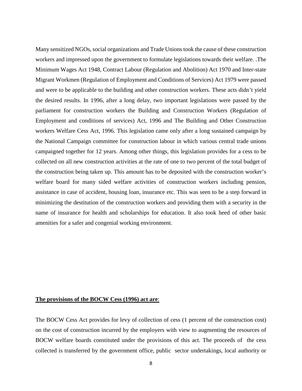Many sensitized NGOs, social organizations and Trade Unions took the cause of these construction workers and impressed upon the government to formulate legislations towards their welfare. .The Minimum Wages Act 1948, Contract Labour (Regulation and Abolition) Act 1970 and Inter-state Migrant Workmen (Regulation of Employment and Conditions of Services) Act 1979 were passed and were to be applicable to the building and other construction workers. These acts didn't yield the desired results. In 1996, after a long delay, two important legislations were passed by the parliament for construction workers the Building and Construction Workers (Regulation of Employment and conditions of services) Act, 1996 and The Building and Other Construction workers Welfare Cess Act, 1996. This legislation came only after a long sustained campaign by the National Campaign committee for construction labour in which various central trade unions campaigned together for 12 years. Among other things, this legislation provides for a cess to be collected on all new construction activities at the rate of one to two percent of the total budget of the construction being taken up. This amount has to be deposited with the construction worker's welfare board for many sided welfare activities of construction workers including pension, assistance in case of accident, housing loan, insurance etc. This was seen to be a step forward in minimizing the destitution of the construction workers and providing them with a security in the name of insurance for health and scholarships for education. It also took heed of other basic amenities for a safer and congenial working environment.

#### **The provisions of the BOCW Cess (1996) act are**:

The BOCW Cess Act provides for levy of collection of cess (1 percent of the construction cost) on the cost of construction incurred by the employers with view to augmenting the resources of BOCW welfare boards constituted under the provisions of this act. The proceeds of the cess collected is transferred by the government office, public sector undertakings, local authority or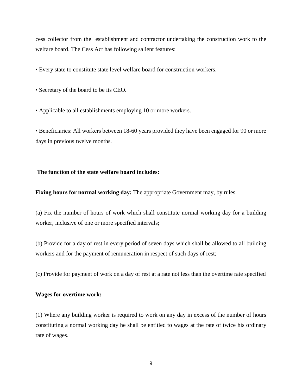cess collector from the establishment and contractor undertaking the construction work to the welfare board. The Cess Act has following salient features:

- Every state to constitute state level welfare board for construction workers.
- Secretary of the board to be its CEO.
- Applicable to all establishments employing 10 or more workers.

• Beneficiaries: All workers between 18-60 years provided they have been engaged for 90 or more days in previous twelve months.

#### **The function of the state welfare board includes:**

**Fixing hours for normal working day:** The appropriate Government may, by rules.

(a) Fix the number of hours of work which shall constitute normal working day for a building worker, inclusive of one or more specified intervals;

(b) Provide for a day of rest in every period of seven days which shall be allowed to all building workers and for the payment of remuneration in respect of such days of rest;

(c) Provide for payment of work on a day of rest at a rate not less than the overtime rate specified

#### **Wages for overtime work:**

(1) Where any building worker is required to work on any day in excess of the number of hours constituting a normal working day he shall be entitled to wages at the rate of twice his ordinary rate of wages.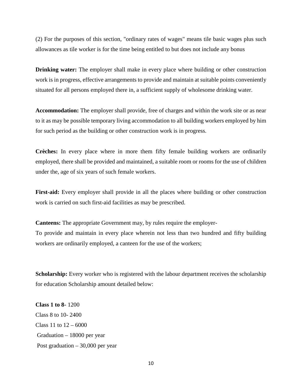(2) For the purposes of this section, "ordinary rates of wages" means tile basic wages plus such allowances as tile worker is for the time being entitled to but does not include any bonus

**Drinking water:** The employer shall make in every place where building or other construction work is in progress, effective arrangements to provide and maintain at suitable points conveniently situated for all persons employed there in, a sufficient supply of wholesome drinking water.

**Accommodation:** The employer shall provide, free of charges and within the work site or as near to it as may be possible temporary living accommodation to all building workers employed by him for such period as the building or other construction work is in progress.

**Crèches:** In every place where in more them fifty female building workers are ordinarily employed, there shall be provided and maintained, a suitable room or rooms for the use of children under the, age of six years of such female workers.

**First-aid:** Every employer shall provide in all the places where building or other construction work is carried on such first-aid facilities as may be prescribed.

**Canteens:** The appropriate Government may, by rules require the employer-

To provide and maintain in every place wherein not less than two hundred and fifty building workers are ordinarily employed, a canteen for the use of the workers;

**Scholarship:** Every worker who is registered with the labour department receives the scholarship for education Scholarship amount detailed below:

**Class 1 to 8-** 1200 Class 8 to 10- 2400 Class 11 to  $12 - 6000$ Graduation – 18000 per year Post graduation – 30,000 per year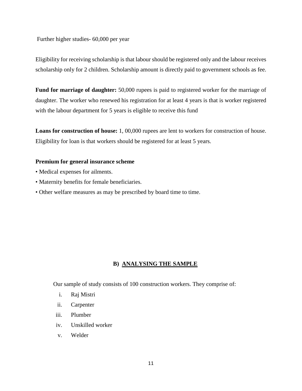Further higher studies- 60,000 per year

Eligibility for receiving scholarship is that labour should be registered only and the labour receives scholarship only for 2 children. Scholarship amount is directly paid to government schools as fee.

**Fund for marriage of daughter:** 50,000 rupees is paid to registered worker for the marriage of daughter. The worker who renewed his registration for at least 4 years is that is worker registered with the labour department for 5 years is eligible to receive this fund

**Loans for construction of house:** 1, 00,000 rupees are lent to workers for construction of house. Eligibility for loan is that workers should be registered for at least 5 years.

#### **Premium for general insurance scheme**

- Medical expenses for ailments.
- Maternity benefits for female beneficiaries.
- Other welfare measures as may be prescribed by board time to time.

#### **B) ANALYSING THE SAMPLE**

Our sample of study consists of 100 construction workers. They comprise of:

- i. Raj Mistri
- ii. Carpenter
- iii. Plumber
- iv. Unskilled worker
- v. Welder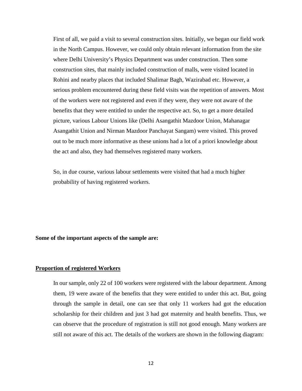First of all, we paid a visit to several construction sites. Initially, we began our field work in the North Campus. However, we could only obtain relevant information from the site where Delhi University's Physics Department was under construction. Then some construction sites, that mainly included construction of malls, were visited located in Rohini and nearby places that included Shalimar Bagh, Wazirabad etc. However, a serious problem encountered during these field visits was the repetition of answers. Most of the workers were not registered and even if they were, they were not aware of the benefits that they were entitled to under the respective act. So, to get a more detailed picture, various Labour Unions like (Delhi Asangathit Mazdoor Union, Mahanagar Asangathit Union and Nirman Mazdoor Panchayat Sangam) were visited. This proved out to be much more informative as these unions had a lot of a priori knowledge about the act and also, they had themselves registered many workers.

So, in due course, various labour settlements were visited that had a much higher probability of having registered workers.

#### **Some of the important aspects of the sample are:**

#### **Proportion of registered Workers**

In our sample, only 22 of 100 workers were registered with the labour department. Among them, 19 were aware of the benefits that they were entitled to under this act. But, going through the sample in detail, one can see that only 11 workers had got the education scholarship for their children and just 3 had got maternity and health benefits. Thus, we can observe that the procedure of registration is still not good enough. Many workers are still not aware of this act. The details of the workers are shown in the following diagram: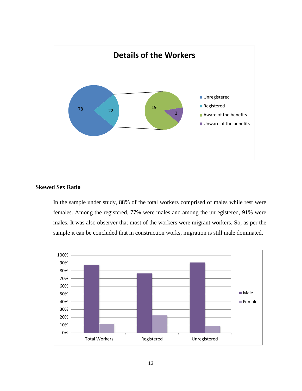

#### **Skewed Sex Ratio**

In the sample under study, 88% of the total workers comprised of males while rest were females. Among the registered, 77% were males and among the unregistered, 91% were males. It was also observer that most of the workers were migrant workers. So, as per the sample it can be concluded that in construction works, migration is still male dominated.

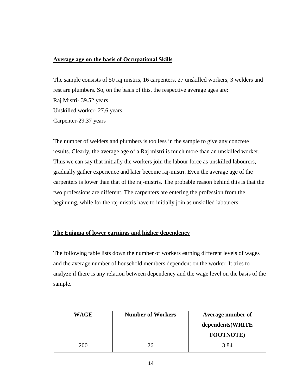#### **Average age on the basis of Occupational Skills**

The sample consists of 50 raj mistris, 16 carpenters, 27 unskilled workers, 3 welders and rest are plumbers. So, on the basis of this, the respective average ages are: Raj Mistri- 39.52 years Unskilled worker- 27.6 years Carpenter-29.37 years

The number of welders and plumbers is too less in the sample to give any concrete results. Clearly, the average age of a Raj mistri is much more than an unskilled worker. Thus we can say that initially the workers join the labour force as unskilled labourers, gradually gather experience and later become raj-mistri. Even the average age of the carpenters is lower than that of the raj-mistris. The probable reason behind this is that the two professions are different. The carpenters are entering the profession from the beginning, while for the raj-mistris have to initially join as unskilled labourers.

#### **The Enigma of lower earnings and higher dependency**

The following table lists down the number of workers earning different levels of wages and the average number of household members dependent on the worker. It tries to analyze if there is any relation between dependency and the wage level on the basis of the sample.

| <b>WAGE</b> | <b>Number of Workers</b> | Average number of |
|-------------|--------------------------|-------------------|
|             |                          | dependents (WRITE |
|             |                          | <b>FOOTNOTE</b> ) |
| <b>200</b>  | 26                       | 3.84              |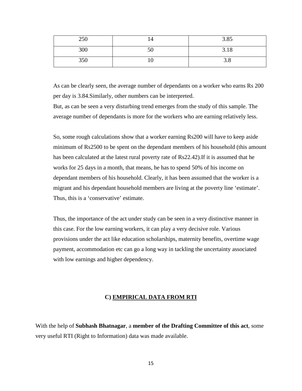| 250 | 14 | 3.85 |
|-----|----|------|
| 300 | 50 | 3.18 |
| 350 | ΙU | J.O  |

As can be clearly seen, the average number of dependants on a worker who earns Rs 200 per day is 3.84.Similarly, other numbers can be interpreted.

But, as can be seen a very disturbing trend emerges from the study of this sample. The average number of dependants is more for the workers who are earning relatively less.

So, some rough calculations show that a worker earning Rs200 will have to keep aside minimum of Rs2500 to be spent on the dependant members of his household (this amount has been calculated at the latest rural poverty rate of Rs22.42).If it is assumed that he works for 25 days in a month, that means, he has to spend 50% of his income on dependant members of his household. Clearly, it has been assumed that the worker is a migrant and his dependant household members are living at the poverty line 'estimate'. Thus, this is a 'conservative' estimate.

Thus, the importance of the act under study can be seen in a very distinctive manner in this case. For the low earning workers, it can play a very decisive role. Various provisions under the act like education scholarships, maternity benefits, overtime wage payment, accommodation etc can go a long way in tackling the uncertainty associated with low earnings and higher dependency.

#### **C) EMPIRICAL DATA FROM RTI**

With the help of **Subhash Bhatnagar**, a **member of the Drafting Committee of this act**, some very useful RTI (Right to Information) data was made available.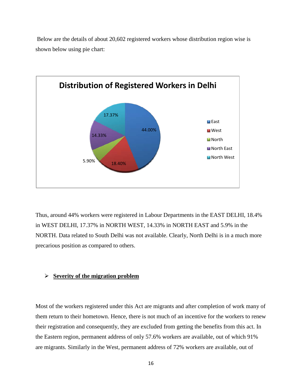Below are the details of about 20,602 registered workers whose distribution region wise is shown below using pie chart:



Thus, around 44% workers were registered in Labour Departments in the EAST DELHI, 18.4% in WEST DELHI, 17.37% in NORTH WEST, 14.33% in NORTH EAST and 5.9% in the NORTH. Data related to South Delhi was not available. Clearly, North Delhi is in a much more precarious position as compared to others.

#### **Severity of the migration problem**

Most of the workers registered under this Act are migrants and after completion of work many of them return to their hometown. Hence, there is not much of an incentive for the workers to renew their registration and consequently, they are excluded from getting the benefits from this act. In the Eastern region, permanent address of only 57.6% workers are available, out of which 91% are migrants. Similarly in the West, permanent address of 72% workers are available, out of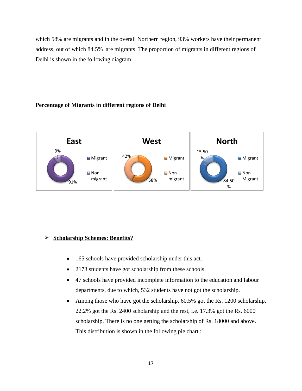which 58% are migrants and in the overall Northern region, 93% workers have their permanent address, out of which 84.5% are migrants. The proportion of migrants in different regions of Delhi is shown in the following diagram:

#### **Percentage of Migrants in different regions of Delhi**



#### **Scholarship Schemes: Benefits?**

- 165 schools have provided scholarship under this act.
- 2173 students have got scholarship from these schools.
- 47 schools have provided incomplete information to the education and labour departments, due to which, 532 students have not got the scholarship.
- Among those who have got the scholarship, 60.5% got the Rs. 1200 scholarship, 22.2% got the Rs. 2400 scholarship and the rest, i.e. 17.3% got the Rs. 6000 scholarship. There is no one getting the scholarship of Rs. 18000 and above. This distribution is shown in the following pie chart :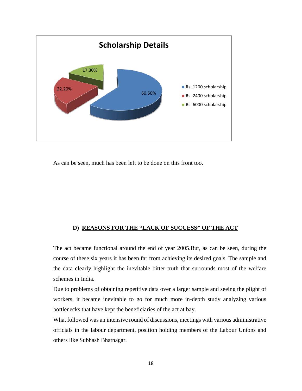

As can be seen, much has been left to be done on this front too.

#### **D) REASONS FOR THE "LACK OF SUCCESS" OF THE ACT**

The act became functional around the end of year 2005.But, as can be seen, during the course of these six years it has been far from achieving its desired goals. The sample and the data clearly highlight the inevitable bitter truth that surrounds most of the welfare schemes in India.

Due to problems of obtaining repetitive data over a larger sample and seeing the plight of workers, it became inevitable to go for much more in-depth study analyzing various bottlenecks that have kept the beneficiaries of the act at bay.

What followed was an intensive round of discussions, meetings with various administrative officials in the labour department, position holding members of the Labour Unions and others like Subhash Bhatnagar.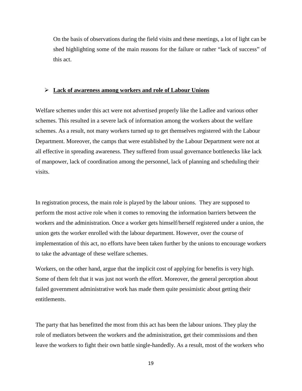On the basis of observations during the field visits and these meetings, a lot of light can be shed highlighting some of the main reasons for the failure or rather "lack of success" of this act.

#### **Lack of awareness among workers and role of Labour Unions**

Welfare schemes under this act were not advertised properly like the Ladlee and various other schemes. This resulted in a severe lack of information among the workers about the welfare schemes. As a result, not many workers turned up to get themselves registered with the Labour Department. Moreover, the camps that were established by the Labour Department were not at all effective in spreading awareness. They suffered from usual governance bottlenecks like lack of manpower, lack of coordination among the personnel, lack of planning and scheduling their visits.

In registration process, the main role is played by the labour unions. They are supposed to perform the most active role when it comes to removing the information barriers between the workers and the administration. Once a worker gets himself/herself registered under a union, the union gets the worker enrolled with the labour department. However, over the course of implementation of this act, no efforts have been taken further by the unions to encourage workers to take the advantage of these welfare schemes.

Workers, on the other hand, argue that the implicit cost of applying for benefits is very high. Some of them felt that it was just not worth the effort. Moreover, the general perception about failed government administrative work has made them quite pessimistic about getting their entitlements.

The party that has benefitted the most from this act has been the labour unions. They play the role of mediators between the workers and the administration, get their commissions and then leave the workers to fight their own battle single-handedly. As a result, most of the workers who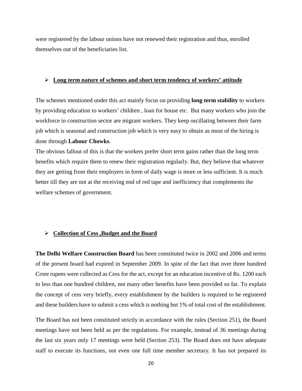were registered by the labour unions have not renewed their registration and thus, enrolled themselves out of the beneficiaries list.

#### **Long term nature of schemes and short term tendency of workers' attitude**

The schemes mentioned under this act mainly focus on providing **long term stability** to workers by providing education to workers' children , loan for house etc. But many workers who join the workforce in construction sector are migrant workers. They keep oscillating between their farm job which is seasonal and construction job which is very easy to obtain as most of the hiring is done through **Labour Chowks**.

The obvious fallout of this is that the workers prefer short term gains rather than the long term benefits which require them to renew their registration regularly. But, they believe that whatever they are getting from their employers in form of daily wage is more or less sufficient. It is much better till they are not at the receiving end of red tape and inefficiency that complements the welfare schemes of government.

#### **Collection of Cess ,Budget and the Board**

**The Delhi Welfare Construction Board** has been constituted twice in 2002 and 2006 and terms of the present board had expired in September 2009. In spite of the fact that over three hundred Crore rupees were collected as Cess for the act, except for an education incentive of Rs. 1200 each to less than one hundred children, not many other benefits have been provided so far. To explain the concept of cess very briefly, every establishment by the builders is required to be registered and these builders have to submit a cess which is nothing but 1% of total cost of the establishment.

The Board has not been constituted strictly in accordance with the rules (Section 251), the Board meetings have not been held as per the regulations. For example, instead of 36 meetings during the last six years only 17 meetings were held (Section 253). The Board does not have adequate staff to execute its functions, not even one full time member secretary. It has not prepared its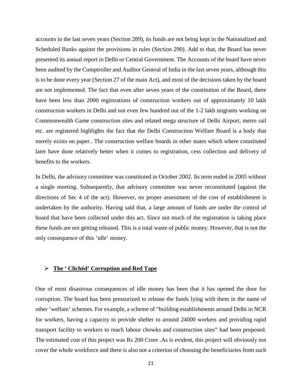accounts in the last seven years (Section 289), its funds are not being kept in the Nationalized and Scheduled Banks against the provisions in rules (Section 290). Add to that, the Board has never presented its annual report in Delhi or Central Government. The Accounts of the board have never been audited by the Comptroller and Auditor General of India in the last seven years, although this is to be done every year (Section 27 of the main Act), and most of the decisions taken by the board are not implemented. The fact that even after seven years of the constitution of the Board, there have been less than 2000 registrations of construction workers out of approximately 10 lakh construction workers in Delhi and not even few hundred out of the 1-2 lakh migrants working on Commonwealth Game construction sites and related mega structure of Delhi Airport, metro rail etc. are registered highlights the fact that the Delhi Construction Welfare Board is a body that merely exists on paper.. The construction welfare boards in other states which where constituted later have done relatively better when it comes to registration, cess collection and delivery of benefits to the workers.

In Delhi, the advisory committee was constituted in October 2002. Its term ended in 2005 without a single meeting. Subsequently, that advisory committee was never reconstituted (against the directions of Sec 4 of the act). However, no proper assessment of the cost of establishment is undertaken by the authority. Having said that, a large amount of funds are under the control of board that have been collected under this act. Since not much of the registration is taking place these funds are not getting released. This is a total waste of public money. However, that is not the only consequence of this 'idle' money.

#### **The ' Clichéd' Corruption and Red Tape**

One of most disastrous consequences of idle money has been that it has opened the door for corruption. The board has been pressurized to release the funds lying with them in the name of other 'welfare' schemes. For example, a scheme of "building establishments around Delhi in NCR for workers, having a capacity to provide shelter to around 24000 workers and providing rapid transport facility to workers to reach labour chowks and construction sites" had been proposed. The estimated cost of this project was Rs 200 Crore .As is evident, this project will obviously not cover the whole workforce and there is also not a criterion of choosing the beneficiaries from such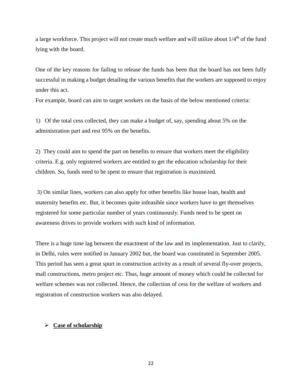a large workforce. This project will not create much welfare and will utilize about  $1/4<sup>th</sup>$  of the fund lying with the board.

One of the key reasons for failing to release the funds has been that the board has not been fully successful in making a budget detailing the various benefits that the workers are supposed to enjoy under this act.

For example, board can aim to target workers on the basis of the below mentioned criteria:

1) Of the total cess collected, they can make a budget of, say, spending about 5% on the administration part and rest 95% on the benefits.

2) They could aim to spend the part on benefits to ensure that workers meet the eligibility criteria. E.g. only registered workers are entitled to get the education scholarship for their children. So, funds need to be spent to ensure that registration is maximized.

3) On similar lines, workers can also apply for other benefits like house loan, health and maternity benefits etc. But, it becomes quite infeasible since workers have to get themselves registered for some particular number of years continuously. Funds need to be spent on awareness drives to provide workers with such kind of information.

There is a huge time lag between the enactment of the law and its implementation. Just to clarify, in Delhi, rules were notified in January 2002 but, the board was constituted in September 2005. This period has seen a great spurt in construction activity as a result of several fly-over projects, mall constructions, metro project etc. Thus, huge amount of money which could be collected for welfare schemes was not collected. Hence, the collection of cess for the welfare of workers and registration of construction workers was also delayed.

#### **Case of scholarship**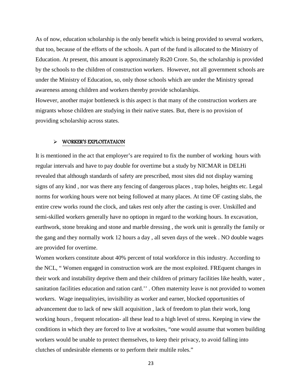As of now, education scholarship is the only benefit which is being provided to several workers, that too, because of the efforts of the schools. A part of the fund is allocated to the Ministry of Education. At present, this amount is approximately Rs20 Crore. So, the scholarship is provided by the schools to the children of construction workers. However, not all government schools are under the Ministry of Education, so, only those schools which are under the Ministry spread awareness among children and workers thereby provide scholarships. However, another major bottleneck is this aspect is that many of the construction workers are

migrants whose children are studying in their native states. But, there is no provision of providing scholarship across states.

#### WORKER'S EXPLOITATAION

It is mentioned in the act that employer's are required to fix the number of working hours with regular intervals and have to pay double for overtime but a study by NICMAR in DELHi revealed that although standards of safety are prescribed, most sites did not display warning signs of any kind , nor was there any fencing of dangerous places , trap holes, heights etc. Legal norms for working hours were not being followed at many places. At time OF casting slabs, the entire crew works round the clock, and takes rest only after the casting is over. Unskilled and semi-skilled workers generally have no optiopn in regard to the working hours. In excavation, earthwork, stone breaking and stone and marble dressing , the work unit is genrally the family or the gang and they normally work 12 hours a day , all seven days of the week . NO double wages are provided for overtime.

Women workers constitute about 40% percent of total workforce in this industry. According to the NCL, " Women engaged in construction work are the most exploited. FREquent changes in their work and instability deprive them and their children of primary facilities like health, water , sanitation facilities education and ration card.'' . Often maternity leave is not provided to women workers. Wage inequalityies, invisibility as worker and earner, blocked opportunities of advancement due to lack of new skill acquisition , lack of freedom to plan their work, long working hours , frequent relocation- all these lead to a high level of stress. Keeping in view the conditions in which they are forced to live at worksites, "one would assume that women building workers would be unable to protect themselves, to keep their privacy, to avoid falling into clutches of undesirable elements or to perform their multile roles."

23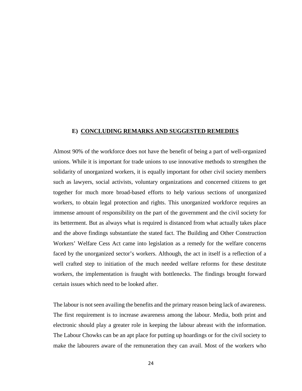#### **E) CONCLUDING REMARKS AND SUGGESTED REMEDIES**

Almost 90% of the workforce does not have the benefit of being a part of well-organized unions. While it is important for trade unions to use innovative methods to strengthen the solidarity of unorganized workers, it is equally important for other civil society members such as lawyers, social activists, voluntary organizations and concerned citizens to get together for much more broad-based efforts to help various sections of unorganized workers, to obtain legal protection and rights. This unorganized workforce requires an immense amount of responsibility on the part of the government and the civil society for its betterment. But as always what is required is distanced from what actually takes place and the above findings substantiate the stated fact. The Building and Other Construction Workers' Welfare Cess Act came into legislation as a remedy for the welfare concerns faced by the unorganized sector's workers. Although, the act in itself is a reflection of a well crafted step to initiation of the much needed welfare reforms for these destitute workers, the implementation is fraught with bottlenecks. The findings brought forward certain issues which need to be looked after.

The labour is not seen availing the benefits and the primary reason being lack of awareness. The first requirement is to increase awareness among the labour. Media, both print and electronic should play a greater role in keeping the labour abreast with the information. The Labour Chowks can be an apt place for putting up hoardings or for the civil society to make the labourers aware of the remuneration they can avail. Most of the workers who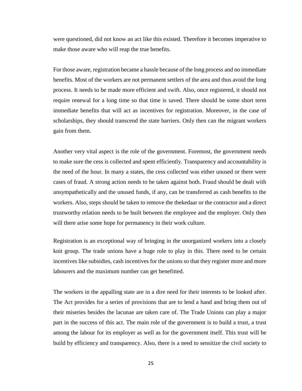were questioned, did not know an act like this existed. Therefore it becomes imperative to make those aware who will reap the true benefits.

For those aware, registration became a hassle because of the long process and no immediate benefits. Most of the workers are not permanent settlers of the area and thus avoid the long process. It needs to be made more efficient and swift. Also, once registered, it should not require renewal for a long time so that time is saved. There should be some short term immediate benefits that will act as incentives for registration. Moreover, in the case of scholarships, they should transcend the state barriers. Only then can the migrant workers gain from them.

Another very vital aspect is the role of the government. Foremost, the government needs to make sure the cess is collected and spent efficiently. Transparency and accountability is the need of the hour. In many a states, the cess collected was either unused or there were cases of fraud. A strong action needs to be taken against both. Fraud should be dealt with unsympathetically and the unused funds, if any, can be transferred as cash benefits to the workers. Also, steps should be taken to remove the thekedaar or the contractor and a direct trustworthy relation needs to be built between the employee and the employer. Only then will there arise some hope for permanency in their work culture.

Registration is an exceptional way of bringing in the unorganized workers into a closely knit group. The trade unions have a huge role to play in this. There need to be certain incentives like subsidies, cash incentives for the unions so that they register more and more labourers and the maximum number can get benefitted.

The workers in the appalling state are in a dire need for their interests to be looked after. The Act provides for a series of provisions that are to lend a hand and bring them out of their miseries besides the lacunae are taken care of. The Trade Unions can play a major part in the success of this act. The main role of the government is to build a trust, a trust among the labour for its employer as well as for the government itself. This trust will be build by efficiency and transparency. Also, there is a need to sensitize the civil society to